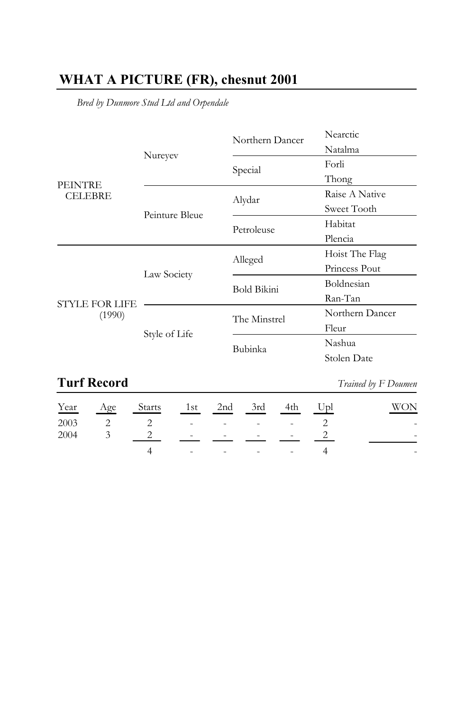## WHAT A PICTURE (FR), chesnut 2001

Bred by Dunmore Stud Ltd and Orpendale

|                                  |                | Northern Dancer    | Nearctic        |
|----------------------------------|----------------|--------------------|-----------------|
| <b>PEINTRE</b><br><b>CELEBRE</b> | Nureyev        |                    | Natalma         |
|                                  |                | Special            | Forli           |
|                                  |                |                    | Thong           |
|                                  | Peinture Bleue | Alydar             | Raise A Native  |
|                                  |                |                    | Sweet Tooth     |
|                                  |                | Petroleuse         | Habitat         |
|                                  |                |                    | Plencia         |
| <b>STYLE FOR LIFE</b><br>(1990)  | Law Society    | Alleged            | Hoist The Flag  |
|                                  |                |                    | Princess Pout   |
|                                  |                | <b>Bold Bikini</b> | Boldnesian      |
|                                  |                |                    | Ran-Tan         |
|                                  | Style of Life  | The Minstrel       | Northern Dancer |
|                                  |                |                    | Fleur           |
|                                  |                | Bubinka            | Nashua          |
|                                  |                |                    | Stolen Date     |

## **Turf Record**

Trained by F Doumen

|  | Year Age Starts 1st 2nd 3rd 4th Upl |               |  |  | <b>WON</b> |
|--|-------------------------------------|---------------|--|--|------------|
|  | $2003$ 2 2 - - - - 2                |               |  |  |            |
|  | $2004$ 3 2 - - - - 2                |               |  |  |            |
|  |                                     | 4 - - - - - 4 |  |  |            |